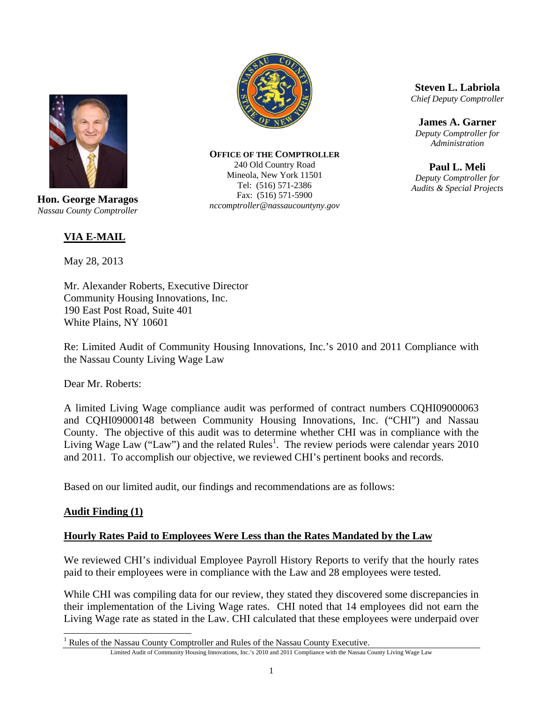

**Hon. George Maragos**  *Nassau County Comptroller* 

# **VIA E-MAIL**

May 28, 2013

Mr. Alexander Roberts, Executive Director Community Housing Innovations, Inc. 190 East Post Road, Suite 401 White Plains, NY 10601

Re: Limited Audit of Community Housing Innovations, Inc.'s 2010 and 2011 Compliance with the Nassau County Living Wage Law

Dear Mr. Roberts:

A limited Living Wage compliance audit was performed of contract numbers CQHI09000063 and CQHI09000148 between Community Housing Innovations, Inc. ("CHI") and Nassau County. The objective of this audit was to determine whether CHI was in compliance with the Living Wage Law ("Law") and the related Rules<sup>1</sup>. The review periods were calendar years 2010 and 2011. To accomplish our objective, we reviewed CHI's pertinent books and records.

Based on our limited audit, our findings and recommendations are as follows:

#### **Audit Finding (1)**

 $\overline{a}$ 

#### **Hourly Rates Paid to Employees Were Less than the Rates Mandated by the Law**

We reviewed CHI's individual Employee Payroll History Reports to verify that the hourly rates paid to their employees were in compliance with the Law and 28 employees were tested.

While CHI was compiling data for our review, they stated they discovered some discrepancies in their implementation of the Living Wage rates. CHI noted that 14 employees did not earn the Living Wage rate as stated in the Law. CHI calculated that these employees were underpaid over



**OFFICE OF THE COMPTROLLER** 240 Old Country Road Mineola, New York 11501 Tel: (516) 571-2386 Fax: (516) 571-5900 *nccomptroller@nassaucountyny.gov* 

**Steven L. Labriola**  *Chief Deputy Comptroller* 

**James A. Garner**  *Deputy Comptroller for Administration*

**Paul L. Meli**  *Deputy Comptroller for Audits & Special Projects*

Limited Audit of Community Housing Innovations, Inc.'s 2010 and 2011 Compliance with the Nassau County Living Wage Law <sup>1</sup> Rules of the Nassau County Comptroller and Rules of the Nassau County Executive.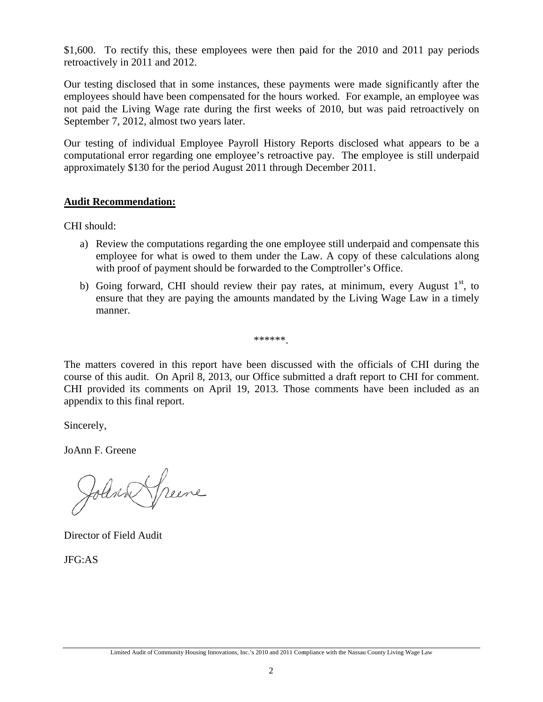\$1,600. To rectify this, these employees were then paid for the 2010 and 2011 pay periods retroactively in 2011 and 2012.

Our testing disclosed that in some instances, these payments were made significantly after the employees should have been compensated for the hours worked. For example, an employee was not paid the Living Wage rate during the first weeks of 2010, but was paid retroactively on September 7, 2012, almost two years later.

Our testing of individual Employee Payroll History Reports disclosed what appears to be a computational error regarding one employee's retroactive pay. The employee is still underpaid approximately \$130 for the period August 2011 through December 2011.

### **Audit Recommendation:**

CHI should:

- a) Review the computations regarding the one employee still underpaid and compensate this employee for what is owed to them under the Law. A copy of these calculations along with proof of payment should be forwarded to the Comptroller's Office.
- b) Going forward, CHI should review their pay rates, at minimum, every August 1<sup>st</sup>, to ensure that they are paying the amounts mandated by the Living Wage Law in a timely m manner.

\*\*\*\*\*\*.

The matters covered in this report have been discussed with the officials of CHI during the course of this audit. On April 8, 2013, our Office submitted a draft report to CHI for comment. CHI provided its comments on April 19, 2013. Those comments have been included as an appendix to this final report.

Sincerely,

JoAnn F. . Greene

Johnn Speene

Director of Field Audit

JFG:AS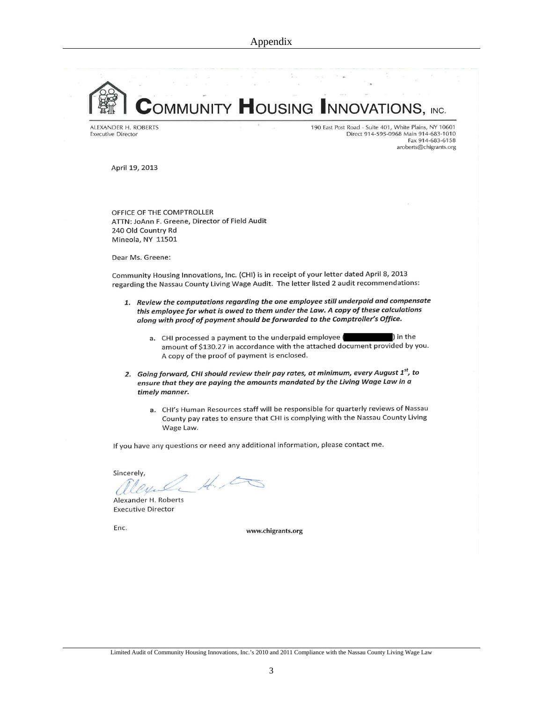COMMUNITY HOUSING INNOVATIONS, INC.

ALEXANDER H. ROBERTS **Executive Director** 

190 East Post Road - Suite 401, White Plains, NY 10601 Direct 914-595-0968 Main 914-683-1010 Fax 914-683-6158 aroberts@chigrants.org

April 19, 2013

OFFICE OF THE COMPTROLLER ATTN: JoAnn F. Greene, Director of Field Audit 240 Old Country Rd Mineola, NY 11501

Dear Ms. Greene:

Community Housing Innovations, Inc. (CHI) is in receipt of your letter dated April 8, 2013 regarding the Nassau County Living Wage Audit. The letter listed 2 audit recommendations:

- 1. Review the computations regarding the one employee still underpaid and compensate this employee for what is owed to them under the Law. A copy of these calculations along with proof of payment should be forwarded to the Comptroller's Office.
	- a. CHI processed a payment to the underpaid employee ) in the amount of \$130.27 in accordance with the attached document provided by you. A copy of the proof of payment is enclosed.
- 2. Going forward, CHI should review their pay rates, at minimum, every August 1<sup>st</sup>, to ensure that they are paying the amounts mandated by the Living Wage Law in a timely manner.
	- a. CHI's Human Resources staff will be responsible for quarterly reviews of Nassau County pay rates to ensure that CHI is complying with the Nassau County Living Wage Law.

If you have any questions or need any additional information, please contact me.

Sincerely,  $\frac{1}{2}$ 

Alexander H. Roberts **Executive Director** 

Enc.

www.chigrants.org